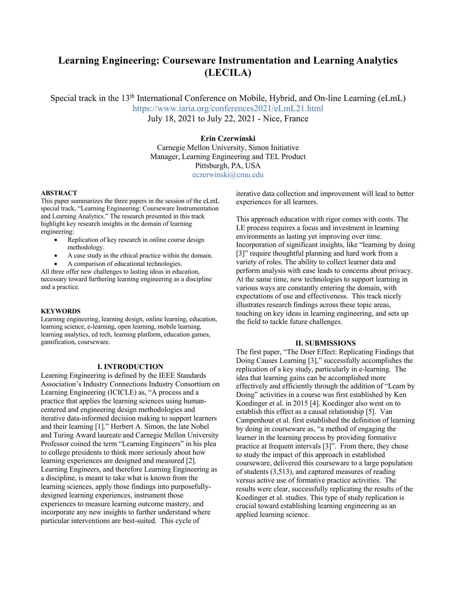# **Learning Engineering: Courseware Instrumentation and Learning Analytics (LECILA)**

Special track in the 13<sup>th</sup> International Conference on Mobile, Hybrid, and On-line Learning (eLmL) https://www.iaria.org/conferences2021/eLmL21.html July 18, 2021 to July 22, 2021 - Nice, France

## **Erin Czerwinski**

Carnegie Mellon University, Simon Initiative Manager, Learning Engineering and TEL Product Pittsburgh, PA, USA eczerwinski@cmu.edu

#### **ABSTRACT**

This paper summarizes the three papers in the session of the eLmL special track, "Learning Engineering: Courseware Instrumentation and Learning Analytics." The research presented in this track highlight key research insights in the domain of learning engineering:

- Replication of key research in online course design methodology.
- A case study in the ethical practice within the domain.
- A comparison of educational technologies.

All three offer new challenges to lasting ideas in education, necessary toward furthering learning engineering as a discipline and a practice.

#### **KEYWORDS**

Learning engineering, learning design, online learning, education, learning science, e-learning, open learning, mobile learning, learning analytics, ed tech, learning platform, education games, gamification, courseware.

#### **I. INTRODUCTION**

Learning Engineering is defined by the IEEE Standards Association's Industry Connections Industry Consortium on Learning Engineering (ICICLE) as, "A process and a practice that applies the learning sciences using humancentered and engineering design methodologies and iterative data-informed decision making to support learners and their learning [1]." Herbert A. Simon, the late Nobel and Turing Award laureate and Carnegie Mellon University Professor coined the term "Learning Engineers" in his plea to college presidents to think more seriously about how learning experiences are designed and measured [2]. Learning Engineers, and therefore Learning Engineering as a discipline, is meant to take what is known from the learning sciences, apply those findings into purposefullydesigned learning experiences, instrument those experiences to measure learning outcome mastery, and incorporate any new insights to further understand where particular interventions are best-suited. This cycle of

iterative data collection and improvement will lead to better experiences for all learners.

This approach education with rigor comes with costs. The LE process requires a focus and investment in learning environments as lasting yet improving over time. Incorporation of significant insights, like "learning by doing [3]" require thoughtful planning and hard work from a variety of roles. The ability to collect learner data and perform analysis with ease leads to concerns about privacy. At the same time, new technologies to support learning in various ways are constantly entering the domain, with expectations of use and effectiveness. This track nicely illustrates research findings across these topic areas, touching on key ideas in learning engineering, and sets up the field to tackle future challenges.

### **II. SUBMISSIONS**

The first paper, "The Doer Effect: Replicating Findings that Doing Causes Learning [3]," successfully accomplishes the replication of a key study, particularly in e-learning. The idea that learning gains can be accomplished more effectively and efficiently through the addition of "Learn by Doing" activities in a course was first established by Ken Koedinger et al. in 2015 [4]. Koedinger also went on to establish this effect as a causal relationship [5]. Van Campenhout et al. first established the definition of learning by doing in courseware as, "a method of engaging the learner in the learning process by providing formative practice at frequent intervals [3]". From there, they chose to study the impact of this approach in established courseware, delivered this courseware to a large population of students (3,513), and captured measures of reading versus active use of formative practice activities. The results were clear, successfully replicating the results of the Koedinger et al. studies. This type of study replication is crucial toward establishing learning engineering as an applied learning science.